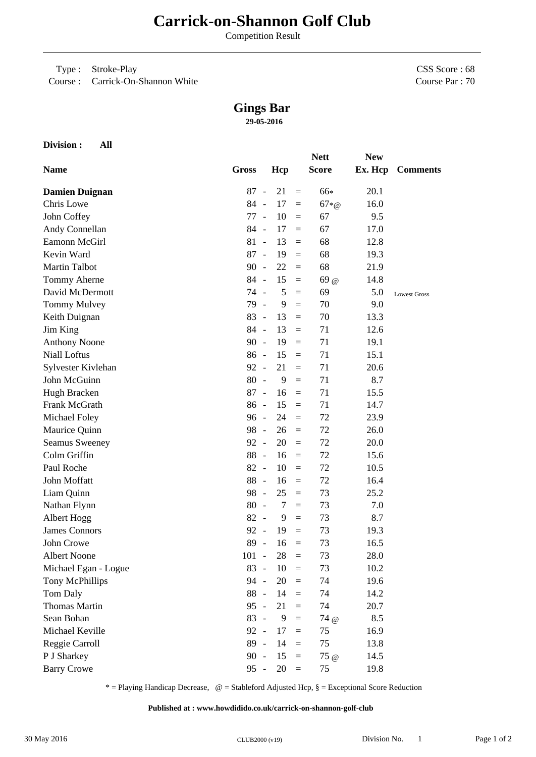## **Carrick-on-Shannon Golf Club**

Competition Result

Type : Stroke-Play

Course : Carrick-On-Shannon White

CSS Score : 68 Course Par : 70

## **Gings Bar**

**29-05-2016**

|                       |              |                |                |          | <b>Nett</b>  | <b>New</b> |                     |
|-----------------------|--------------|----------------|----------------|----------|--------------|------------|---------------------|
| <b>Name</b>           | <b>Gross</b> |                | Hcp            |          | <b>Score</b> |            | Ex. Hcp Comments    |
| <b>Damien Duignan</b> | 87           | $\sim$         | 21             | $\equiv$ | 66*          | 20.1       |                     |
| Chris Lowe            | 84 -         |                | 17             | $\equiv$ | $67 * @$     | 16.0       |                     |
| John Coffey           | 77           | $\sim$ $-$     | 10             | $\equiv$ | 67           | 9.5        |                     |
| Andy Connellan        | 84 -         |                | 17             | $\equiv$ | 67           | 17.0       |                     |
| Eamonn McGirl         | $81 -$       |                | 13             | $\equiv$ | 68           | 12.8       |                     |
| Kevin Ward            | $87 -$       |                | 19             | $\equiv$ | 68           | 19.3       |                     |
| <b>Martin Talbot</b>  | $90 -$       |                | 22             | $=$      | 68           | 21.9       |                     |
| Tommy Aherne          | 84 -         |                | 15             | $\equiv$ | 69@          | 14.8       |                     |
| David McDermott       | 74 -         |                | 5              | $=$      | 69           | 5.0        | <b>Lowest Gross</b> |
| Tommy Mulvey          | 79           | $\sim$ $-$     | 9              | $\equiv$ | 70           | 9.0        |                     |
| Keith Duignan         | 83           | $\sim$         | 13             | $\equiv$ | 70           | 13.3       |                     |
| Jim King              | 84 -         |                | 13             | $\equiv$ | 71           | 12.6       |                     |
| <b>Anthony Noone</b>  | $90 -$       |                | 19             | $\equiv$ | 71           | 19.1       |                     |
| Niall Loftus          | $86 -$       |                | 15             | $\equiv$ | 71           | 15.1       |                     |
| Sylvester Kivlehan    | $92 -$       |                | 21             | $\equiv$ | 71           | 20.6       |                     |
| John McGuinn          | 80           | $\overline{a}$ | 9              | $=$      | 71           | 8.7        |                     |
| Hugh Bracken          | 87           | $\sim$         | 16             | $\equiv$ | 71           | 15.5       |                     |
| Frank McGrath         | $86 -$       |                | 15             | $\equiv$ | 71           | 14.7       |                     |
| Michael Foley         | $96 -$       |                | 24             | $=$      | 72           | 23.9       |                     |
| Maurice Quinn         | 98 -         |                | 26             | $\equiv$ | 72           | 26.0       |                     |
| Seamus Sweeney        | 92 -         |                | 20             | $\equiv$ | 72           | 20.0       |                     |
| Colm Griffin          | 88           | $\sim$         | 16             | $\equiv$ | 72           | 15.6       |                     |
| Paul Roche            | 82           | $\overline{a}$ | 10             | $\equiv$ | 72           | 10.5       |                     |
| John Moffatt          | 88 -         |                | 16             | $\equiv$ | 72           | 16.4       |                     |
| Liam Quinn            | 98           | $\sim$         | 25             | $\equiv$ | 73           | 25.2       |                     |
| Nathan Flynn          | $80 -$       |                | $\overline{7}$ | $=$      | 73           | 7.0        |                     |
| Albert Hogg           | $82 -$       |                | 9              | $\equiv$ | 73           | 8.7        |                     |
| <b>James Connors</b>  | 92 -         |                | 19             | $\equiv$ | 73           | 19.3       |                     |
| John Crowe            | 89           | $\sim$         | 16             | $\equiv$ | 73           | 16.5       |                     |
| <b>Albert Noone</b>   | $101 -$      |                | 28             | $=$      | 73           | 28.0       |                     |
| Michael Egan - Logue  | $83 -$       |                | 10             | $\equiv$ | 73           | 10.2       |                     |
| Tony McPhillips       | 94 -         |                | 20             | $=$      | 74           | 19.6       |                     |
| Tom Daly              | 88 -         |                | 14             | $=$      | 74           | 14.2       |                     |
| Thomas Martin         | $95 -$       |                | 21             | $\equiv$ | 74           | 20.7       |                     |
| Sean Bohan            | $83 -$       |                | 9              | $=$      | 74 @         | 8.5        |                     |
| Michael Keville       | 92 -         |                | 17             | $=$      | 75           | 16.9       |                     |
| Reggie Carroll        | 89           | $\sim$         | 14             | $\equiv$ | 75           | 13.8       |                     |
| P J Sharkey           | $90 -$       |                | 15             | $\equiv$ | 75@          | 14.5       |                     |
| <b>Barry Crowe</b>    | $95 -$       |                | 20             | $\,=\,$  | 75           | 19.8       |                     |

\* = Playing Handicap Decrease, @ = Stableford Adjusted Hcp, § = Exceptional Score Reduction

**Published at : www.howdidido.co.uk/carrick-on-shannon-golf-club**